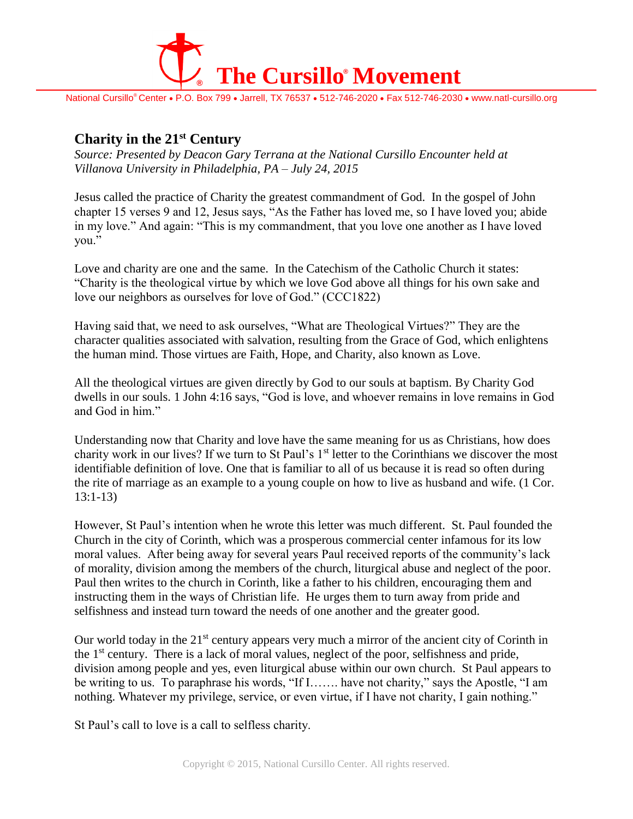

National Cursillo® Center • P.O. Box 799 • Jarrell, TX 76537 • 512-746-2020 • Fax 512-746-2030 • www.natl-cursillo.org

## **Charity in the 21st Century**

*Source: Presented by Deacon Gary Terrana at the National Cursillo Encounter held at Villanova University in Philadelphia, PA – July 24, 2015*

Jesus called the practice of Charity the greatest commandment of God. In the gospel of John chapter 15 verses 9 and 12, Jesus says, "As the Father has loved me, so I have loved you; abide in my love." And again: "This is my commandment, that you love one another as I have loved you."

Love and charity are one and the same. In the Catechism of the Catholic Church it states: "Charity is the theological virtue by which we love God above all things for his own sake and love our neighbors as ourselves for love of God." (CCC1822)

Having said that, we need to ask ourselves, "What are Theological Virtues?" They are the character qualities associated with salvation, resulting from the Grace of God, which enlightens the human mind. Those virtues are Faith, Hope, and Charity, also known as Love.

All the theological virtues are given directly by God to our souls at baptism. By Charity God dwells in our souls. 1 John 4:16 says, "God is love, and whoever remains in love remains in God and God in him."

Understanding now that Charity and love have the same meaning for us as Christians, how does charity work in our lives? If we turn to St Paul's 1<sup>st</sup> letter to the Corinthians we discover the most identifiable definition of love. One that is familiar to all of us because it is read so often during the rite of marriage as an example to a young couple on how to live as husband and wife. (1 Cor. 13:1-13)

However, St Paul's intention when he wrote this letter was much different. St. Paul founded the Church in the city of Corinth, which was a prosperous commercial center infamous for its low moral values. After being away for several years Paul received reports of the community's lack of morality, division among the members of the church, liturgical abuse and neglect of the poor. Paul then writes to the church in Corinth, like a father to his children, encouraging them and instructing them in the ways of Christian life. He urges them to turn away from pride and selfishness and instead turn toward the needs of one another and the greater good.

Our world today in the  $21<sup>st</sup>$  century appears very much a mirror of the ancient city of Corinth in the  $1<sup>st</sup>$  century. There is a lack of moral values, neglect of the poor, selfishness and pride, division among people and yes, even liturgical abuse within our own church. St Paul appears to be writing to us. To paraphrase his words, "If I……. have not charity," says the Apostle, "I am nothing. Whatever my privilege, service, or even virtue, if I have not charity, I gain nothing."

St Paul's call to love is a call to selfless charity.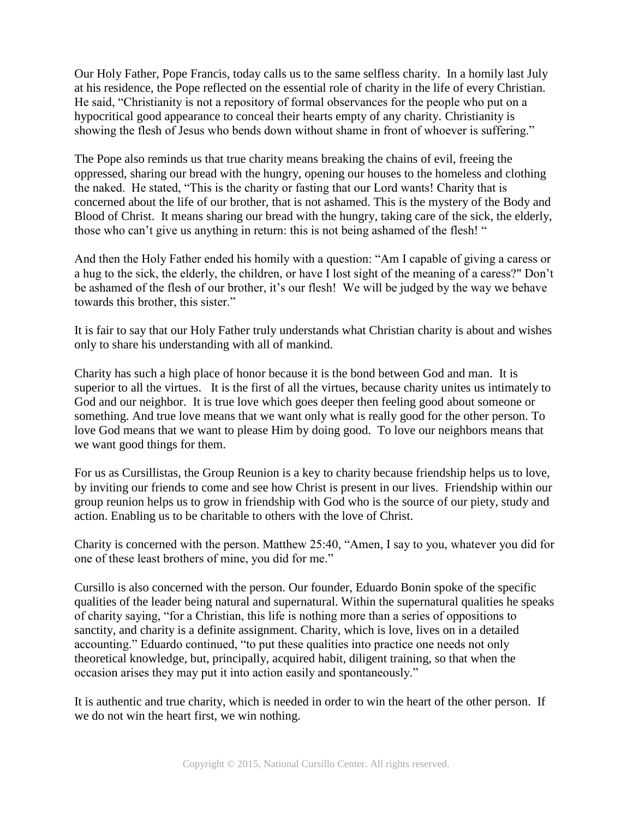Our Holy Father, Pope Francis, today calls us to the same selfless charity. In a homily last July at his residence, the Pope reflected on the essential role of charity in the life of every Christian. He said, "Christianity is not a repository of formal observances for the people who put on a hypocritical good appearance to conceal their hearts empty of any charity. Christianity is showing the flesh of Jesus who bends down without shame in front of whoever is suffering."

The Pope also reminds us that true charity means breaking the chains of evil, freeing the oppressed, sharing our bread with the hungry, opening our houses to the homeless and clothing the naked. He stated, "This is the charity or fasting that our Lord wants! Charity that is concerned about the life of our brother, that is not ashamed. This is the mystery of the Body and Blood of Christ. It means sharing our bread with the hungry, taking care of the sick, the elderly, those who can't give us anything in return: this is not being ashamed of the flesh! "

And then the Holy Father ended his homily with a question: "Am I capable of giving a caress or a hug to the sick, the elderly, the children, or have I lost sight of the meaning of a caress?" Don't be ashamed of the flesh of our brother, it's our flesh! We will be judged by the way we behave towards this brother, this sister."

It is fair to say that our Holy Father truly understands what Christian charity is about and wishes only to share his understanding with all of mankind.

Charity has such a high place of honor because it is the bond between God and man. It is superior to all the virtues. It is the first of all the virtues, because charity unites us intimately to God and our neighbor. It is true love which goes deeper then feeling good about someone or something. And true love means that we want only what is really good for the other person. To love God means that we want to please Him by doing good. To love our neighbors means that we want good things for them.

For us as Cursillistas, the Group Reunion is a key to charity because friendship helps us to love, by inviting our friends to come and see how Christ is present in our lives. Friendship within our group reunion helps us to grow in friendship with God who is the source of our piety, study and action. Enabling us to be charitable to others with the love of Christ.

Charity is concerned with the person. Matthew 25:40, "Amen, I say to you, whatever you did for one of these least brothers of mine, you did for me."

Cursillo is also concerned with the person. Our founder, Eduardo Bonin spoke of the specific qualities of the leader being natural and supernatural. Within the supernatural qualities he speaks of charity saying, "for a Christian, this life is nothing more than a series of oppositions to sanctity, and charity is a definite assignment. Charity, which is love, lives on in a detailed accounting." Eduardo continued, "to put these qualities into practice one needs not only theoretical knowledge, but, principally, acquired habit, diligent training, so that when the occasion arises they may put it into action easily and spontaneously."

It is authentic and true charity, which is needed in order to win the heart of the other person. If we do not win the heart first, we win nothing.